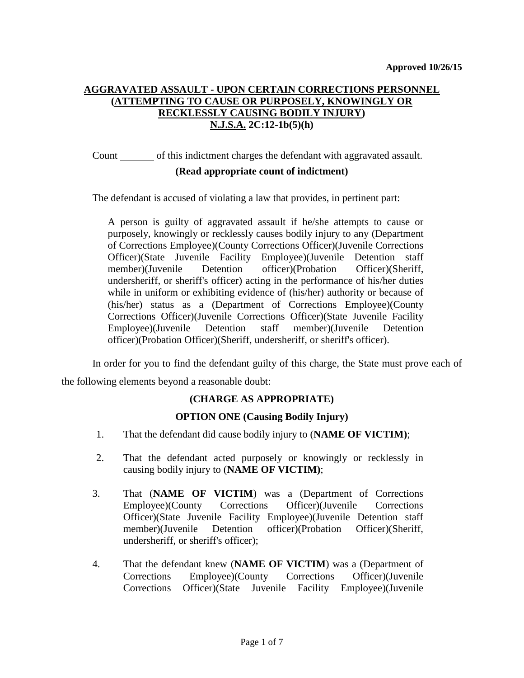# **AGGRAVATED ASSAULT - UPON CERTAIN CORRECTIONS PERSONNEL (ATTEMPTING TO CAUSE OR PURPOSELY, KNOWINGLY OR RECKLESSLY CAUSING BODILY INJURY) N.J.S.A. 2C:12-1b(5)(h)**

Count of this indictment charges the defendant with aggravated assault.

### **(Read appropriate count of indictment)**

The defendant is accused of violating a law that provides, in pertinent part:

A person is guilty of aggravated assault if he/she attempts to cause or purposely, knowingly or recklessly causes bodily injury to any (Department of Corrections Employee)(County Corrections Officer)(Juvenile Corrections Officer)(State Juvenile Facility Employee)(Juvenile Detention staff member)(Juvenile Detention officer)(Probation Officer)(Sheriff, undersheriff, or sheriff's officer) acting in the performance of his/her duties while in uniform or exhibiting evidence of (his/her) authority or because of (his/her) status as a (Department of Corrections Employee)(County Corrections Officer)(Juvenile Corrections Officer)(State Juvenile Facility Employee)(Juvenile Detention staff member)(Juvenile Detention officer)(Probation Officer)(Sheriff, undersheriff, or sheriff's officer).

In order for you to find the defendant guilty of this charge, the State must prove each of the following elements beyond a reasonable doubt:

# **(CHARGE AS APPROPRIATE)**

### **OPTION ONE (Causing Bodily Injury)**

- 1. That the defendant did cause bodily injury to (**NAME OF VICTIM)**;
- 2. That the defendant acted purposely or knowingly or recklessly in causing bodily injury to (**NAME OF VICTIM)**;
- 3. That (**NAME OF VICTIM**) was a (Department of Corrections Employee)(County Corrections Officer)(Juvenile Corrections Officer)(State Juvenile Facility Employee)(Juvenile Detention staff member)(Juvenile Detention officer)(Probation Officer)(Sheriff, undersheriff, or sheriff's officer);
- 4. That the defendant knew (**NAME OF VICTIM**) was a (Department of Corrections Employee)(County Corrections Officer)(Juvenile Corrections Officer)(State Juvenile Facility Employee)(Juvenile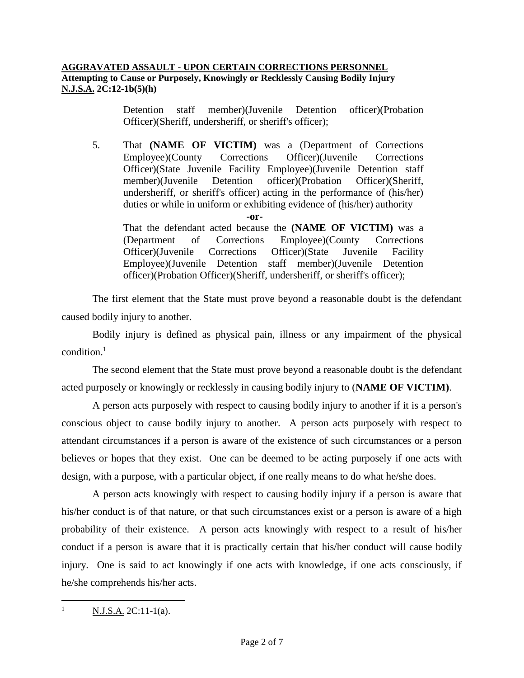Detention staff member)(Juvenile Detention officer)(Probation Officer)(Sheriff, undersheriff, or sheriff's officer);

5. That **(NAME OF VICTIM)** was a (Department of Corrections Employee)(County Corrections Officer)(Juvenile Corrections Officer)(State Juvenile Facility Employee)(Juvenile Detention staff member)(Juvenile Detention officer)(Probation Officer)(Sheriff, undersheriff, or sheriff's officer) acting in the performance of (his/her) duties or while in uniform or exhibiting evidence of (his/her) authority

**-or-**

That the defendant acted because the **(NAME OF VICTIM)** was a (Department of Corrections Employee)(County Corrections Officer)(Juvenile Corrections Officer)(State Juvenile Facility Employee)(Juvenile Detention staff member)(Juvenile Detention officer)(Probation Officer)(Sheriff, undersheriff, or sheriff's officer);

The first element that the State must prove beyond a reasonable doubt is the defendant caused bodily injury to another.

Bodily injury is defined as physical pain, illness or any impairment of the physical condition. $<sup>1</sup>$ </sup>

The second element that the State must prove beyond a reasonable doubt is the defendant acted purposely or knowingly or recklessly in causing bodily injury to (**NAME OF VICTIM)**.

A person acts purposely with respect to causing bodily injury to another if it is a person's conscious object to cause bodily injury to another. A person acts purposely with respect to attendant circumstances if a person is aware of the existence of such circumstances or a person believes or hopes that they exist. One can be deemed to be acting purposely if one acts with design, with a purpose, with a particular object, if one really means to do what he/she does.

A person acts knowingly with respect to causing bodily injury if a person is aware that his/her conduct is of that nature, or that such circumstances exist or a person is aware of a high probability of their existence. A person acts knowingly with respect to a result of his/her conduct if a person is aware that it is practically certain that his/her conduct will cause bodily injury. One is said to act knowingly if one acts with knowledge, if one acts consciously, if he/she comprehends his/her acts.

 $\overline{1}$  $N.J.S.A. 2C:11-1(a).$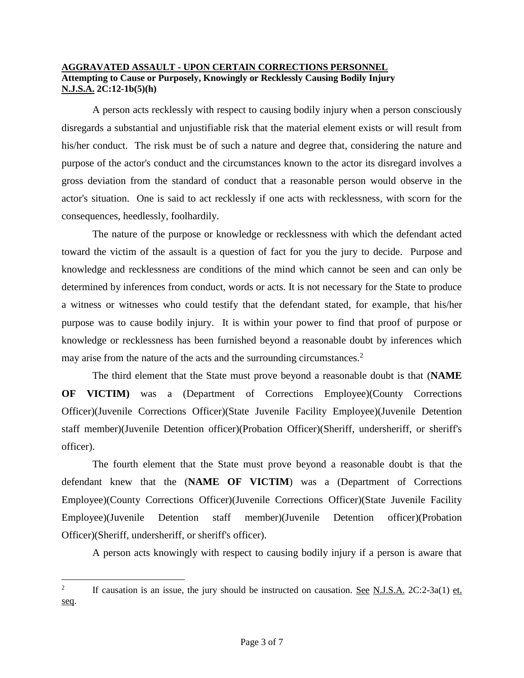A person acts recklessly with respect to causing bodily injury when a person consciously disregards a substantial and unjustifiable risk that the material element exists or will result from his/her conduct. The risk must be of such a nature and degree that, considering the nature and purpose of the actor's conduct and the circumstances known to the actor its disregard involves a gross deviation from the standard of conduct that a reasonable person would observe in the actor's situation. One is said to act recklessly if one acts with recklessness, with scorn for the consequences, heedlessly, foolhardily.

The nature of the purpose or knowledge or recklessness with which the defendant acted toward the victim of the assault is a question of fact for you the jury to decide. Purpose and knowledge and recklessness are conditions of the mind which cannot be seen and can only be determined by inferences from conduct, words or acts. It is not necessary for the State to produce a witness or witnesses who could testify that the defendant stated, for example, that his/her purpose was to cause bodily injury. It is within your power to find that proof of purpose or knowledge or recklessness has been furnished beyond a reasonable doubt by inferences which may arise from the nature of the acts and the surrounding circumstances.<sup>2</sup>

The third element that the State must prove beyond a reasonable doubt is that (**NAME OF VICTIM)** was a (Department of Corrections Employee)(County Corrections Officer)(Juvenile Corrections Officer)(State Juvenile Facility Employee)(Juvenile Detention staff member)(Juvenile Detention officer)(Probation Officer)(Sheriff, undersheriff, or sheriff's officer).

The fourth element that the State must prove beyond a reasonable doubt is that the defendant knew that the (**NAME OF VICTIM**) was a (Department of Corrections Employee)(County Corrections Officer)(Juvenile Corrections Officer)(State Juvenile Facility Employee)(Juvenile Detention staff member)(Juvenile Detention officer)(Probation Officer)(Sheriff, undersheriff, or sheriff's officer).

A person acts knowingly with respect to causing bodily injury if a person is aware that

 $\overline{a}$ 

<sup>2</sup> If causation is an issue, the jury should be instructed on causation. See N.J.S.A. 2C:2-3a(1) et. seq.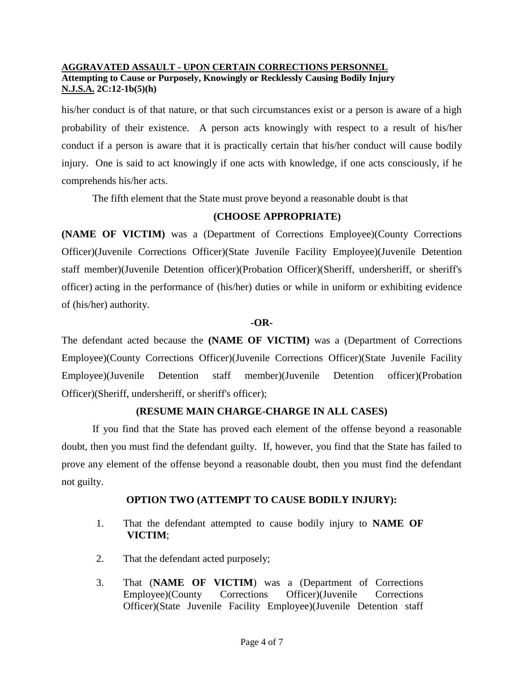his/her conduct is of that nature, or that such circumstances exist or a person is aware of a high probability of their existence. A person acts knowingly with respect to a result of his/her conduct if a person is aware that it is practically certain that his/her conduct will cause bodily injury. One is said to act knowingly if one acts with knowledge, if one acts consciously, if he comprehends his/her acts.

The fifth element that the State must prove beyond a reasonable doubt is that

### **(CHOOSE APPROPRIATE)**

**(NAME OF VICTIM)** was a (Department of Corrections Employee)(County Corrections Officer)(Juvenile Corrections Officer)(State Juvenile Facility Employee)(Juvenile Detention staff member)(Juvenile Detention officer)(Probation Officer)(Sheriff, undersheriff, or sheriff's officer) acting in the performance of (his/her) duties or while in uniform or exhibiting evidence of (his/her) authority.

### **-OR-**

The defendant acted because the **(NAME OF VICTIM)** was a (Department of Corrections Employee)(County Corrections Officer)(Juvenile Corrections Officer)(State Juvenile Facility Employee)(Juvenile Detention staff member)(Juvenile Detention officer)(Probation Officer)(Sheriff, undersheriff, or sheriff's officer);

# **(RESUME MAIN CHARGE-CHARGE IN ALL CASES)**

If you find that the State has proved each element of the offense beyond a reasonable doubt, then you must find the defendant guilty. If, however, you find that the State has failed to prove any element of the offense beyond a reasonable doubt, then you must find the defendant not guilty.

# **OPTION TWO (ATTEMPT TO CAUSE BODILY INJURY):**

- 1. That the defendant attempted to cause bodily injury to **NAME OF VICTIM**;
- 2. That the defendant acted purposely;
- 3. That (**NAME OF VICTIM**) was a (Department of Corrections Employee)(County Corrections Officer)(Juvenile Corrections Officer)(State Juvenile Facility Employee)(Juvenile Detention staff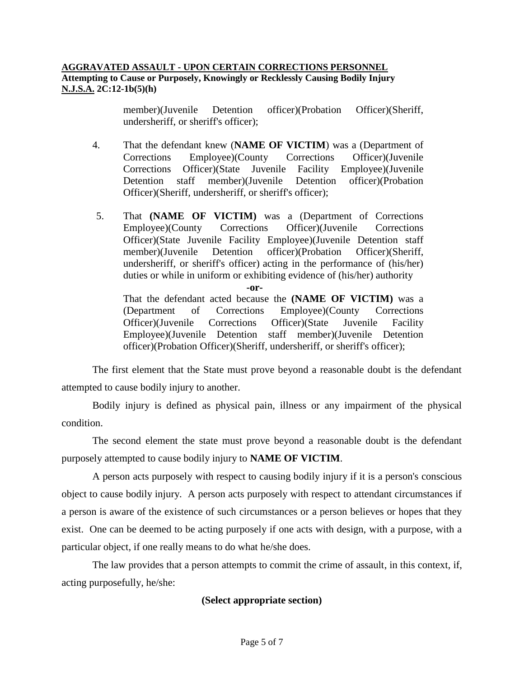member)(Juvenile Detention officer)(Probation Officer)(Sheriff, undersheriff, or sheriff's officer);

- 4. That the defendant knew (**NAME OF VICTIM**) was a (Department of Corrections Employee)(County Corrections Officer)(Juvenile Corrections Officer)(State Juvenile Facility Employee)(Juvenile Detention staff member)(Juvenile Detention officer)(Probation Officer)(Sheriff, undersheriff, or sheriff's officer);
- 5. That **(NAME OF VICTIM)** was a (Department of Corrections Employee)(County Corrections Officer)(Juvenile Corrections Officer)(State Juvenile Facility Employee)(Juvenile Detention staff member)(Juvenile Detention officer)(Probation Officer)(Sheriff, undersheriff, or sheriff's officer) acting in the performance of (his/her) duties or while in uniform or exhibiting evidence of (his/her) authority

**-or-**

That the defendant acted because the **(NAME OF VICTIM)** was a (Department of Corrections Employee)(County Corrections Officer)(Juvenile Corrections Officer)(State Juvenile Facility Employee)(Juvenile Detention staff member)(Juvenile Detention officer)(Probation Officer)(Sheriff, undersheriff, or sheriff's officer);

The first element that the State must prove beyond a reasonable doubt is the defendant attempted to cause bodily injury to another.

Bodily injury is defined as physical pain, illness or any impairment of the physical condition.

The second element the state must prove beyond a reasonable doubt is the defendant purposely attempted to cause bodily injury to **NAME OF VICTIM**.

A person acts purposely with respect to causing bodily injury if it is a person's conscious object to cause bodily injury. A person acts purposely with respect to attendant circumstances if a person is aware of the existence of such circumstances or a person believes or hopes that they exist. One can be deemed to be acting purposely if one acts with design, with a purpose, with a particular object, if one really means to do what he/she does.

The law provides that a person attempts to commit the crime of assault, in this context, if, acting purposefully, he/she:

# **(Select appropriate section)**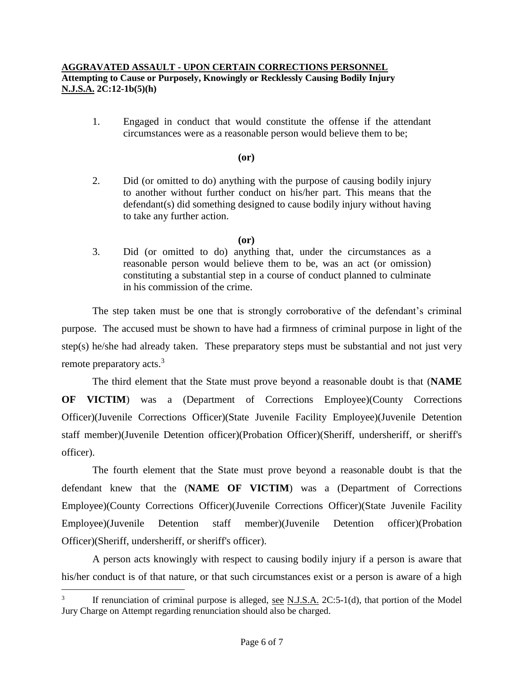1. Engaged in conduct that would constitute the offense if the attendant circumstances were as a reasonable person would believe them to be;

#### **(or)**

2. Did (or omitted to do) anything with the purpose of causing bodily injury to another without further conduct on his/her part. This means that the defendant(s) did something designed to cause bodily injury without having to take any further action.

### **(or)**

3. Did (or omitted to do) anything that, under the circumstances as a reasonable person would believe them to be, was an act (or omission) constituting a substantial step in a course of conduct planned to culminate in his commission of the crime.

The step taken must be one that is strongly corroborative of the defendant's criminal purpose. The accused must be shown to have had a firmness of criminal purpose in light of the step(s) he/she had already taken. These preparatory steps must be substantial and not just very remote preparatory acts.<sup>3</sup>

The third element that the State must prove beyond a reasonable doubt is that (**NAME OF VICTIM**) was a (Department of Corrections Employee)(County Corrections Officer)(Juvenile Corrections Officer)(State Juvenile Facility Employee)(Juvenile Detention staff member)(Juvenile Detention officer)(Probation Officer)(Sheriff, undersheriff, or sheriff's officer).

The fourth element that the State must prove beyond a reasonable doubt is that the defendant knew that the (**NAME OF VICTIM**) was a (Department of Corrections Employee)(County Corrections Officer)(Juvenile Corrections Officer)(State Juvenile Facility Employee)(Juvenile Detention staff member)(Juvenile Detention officer)(Probation Officer)(Sheriff, undersheriff, or sheriff's officer).

A person acts knowingly with respect to causing bodily injury if a person is aware that his/her conduct is of that nature, or that such circumstances exist or a person is aware of a high

 $\overline{a}$ 

<sup>3</sup> If renunciation of criminal purpose is alleged, see N.J.S.A. 2C:5-1(d), that portion of the Model Jury Charge on Attempt regarding renunciation should also be charged.